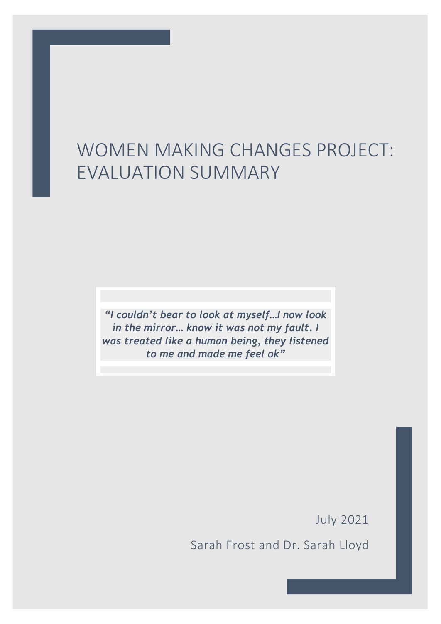# WOMEN MAKING CHANGES PROJECT: EVALUATION SUMMARY

*"I couldn't bear to look at myself…I now look in the mirror… know it was not my fault. I was treated like a human being, they listened to me and made me feel ok"*

July 2021

Sarah Frost and Dr. Sarah Lloyd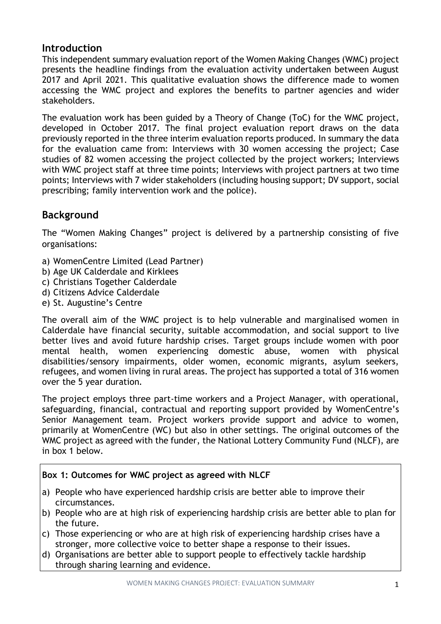# **Introduction**

This independent summary evaluation report of the Women Making Changes (WMC) project presents the headline findings from the evaluation activity undertaken between August 2017 and April 2021. This qualitative evaluation shows the difference made to women accessing the WMC project and explores the benefits to partner agencies and wider stakeholders.

The evaluation work has been guided by a Theory of Change (ToC) for the WMC project, developed in October 2017. The final project evaluation report draws on the data previously reported in the three interim evaluation reports produced. In summary the data for the evaluation came from: Interviews with 30 women accessing the project; Case studies of 82 women accessing the project collected by the project workers; Interviews with WMC project staff at three time points; Interviews with project partners at two time points; Interviews with 7 wider stakeholders (including housing support; DV support, social prescribing; family intervention work and the police).

# **Background**

The "Women Making Changes" project is delivered by a partnership consisting of five organisations:

- a) WomenCentre Limited (Lead Partner)
- b) Age UK Calderdale and Kirklees
- c) Christians Together Calderdale
- d) Citizens Advice Calderdale
- e) St. Augustine's Centre

The overall aim of the WMC project is to help vulnerable and marginalised women in Calderdale have financial security, suitable accommodation, and social support to live better lives and avoid future hardship crises. Target groups include women with poor mental health, women experiencing domestic abuse, women with physical disabilities/sensory impairments, older women, economic migrants, asylum seekers, refugees, and women living in rural areas. The project has supported a total of 316 women over the 5 year duration.

The project employs three part-time workers and a Project Manager, with operational, safeguarding, financial, contractual and reporting support provided by WomenCentre's Senior Management team. Project workers provide support and advice to women, primarily at WomenCentre (WC) but also in other settings. The original outcomes of the WMC project as agreed with the funder, the National Lottery Community Fund (NLCF), are in box 1 below.

## **Box 1: Outcomes for WMC project as agreed with NLCF**

- a) People who have experienced hardship crisis are better able to improve their circumstances.
- b) People who are at high risk of experiencing hardship crisis are better able to plan for the future.
- c) Those experiencing or who are at high risk of experiencing hardship crises have a stronger, more collective voice to better shape a response to their issues.
- d) Organisations are better able to support people to effectively tackle hardship through sharing learning and evidence.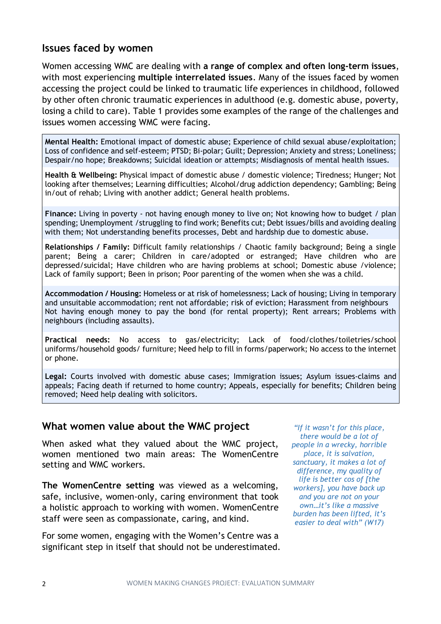## **Issues faced by women**

Women accessing WMC are dealing with **a range of complex and often long-term issues**, with most experiencing **multiple interrelated issues**. Many of the issues faced by women accessing the project could be linked to traumatic life experiences in childhood, followed by other often chronic traumatic experiences in adulthood (e.g. domestic abuse, poverty, losing a child to care). Table 1 provides some examples of the range of the challenges and issues women accessing WMC were facing.

**Mental Health:** Emotional impact of domestic abuse; Experience of child sexual abuse/exploitation; Loss of confidence and self-esteem; PTSD; Bi-polar; Guilt; Depression; Anxiety and stress; Loneliness; Despair/no hope; Breakdowns; Suicidal ideation or attempts; Misdiagnosis of mental health issues.

**Health & Wellbeing:** Physical impact of domestic abuse / domestic violence; Tiredness; Hunger; Not looking after themselves; Learning difficulties; Alcohol/drug addiction dependency; Gambling; Being in/out of rehab; Living with another addict; General health problems.

**Finance:** Living in poverty - not having enough money to live on; Not knowing how to budget / plan spending; Unemployment /struggling to find work; Benefits cut; Debt issues/bills and avoiding dealing with them; Not understanding benefits processes, Debt and hardship due to domestic abuse.

**Relationships / Family:** Difficult family relationships / Chaotic family background; Being a single parent; Being a carer; Children in care/adopted or estranged; Have children who are depressed/suicidal; Have children who are having problems at school; Domestic abuse /violence; Lack of family support; Been in prison; Poor parenting of the women when she was a child.

**Accommodation / Housing:** Homeless or at risk of homelessness; Lack of housing; Living in temporary and unsuitable accommodation; rent not affordable; risk of eviction; Harassment from neighbours Not having enough money to pay the bond (for rental property); Rent arrears; Problems with neighbours (including assaults).

**Practical needs:** No access to gas/electricity; Lack of food/clothes/toiletries/school uniforms/household goods/ furniture; Need help to fill in forms/paperwork; No access to the internet or phone.

**Legal:** Courts involved with domestic abuse cases; Immigration issues; Asylum issues-claims and appeals; Facing death if returned to home country; Appeals, especially for benefits; Children being removed; Need help dealing with solicitors.

## **What women value about the WMC project**

When asked what they valued about the WMC project, women mentioned two main areas: The WomenCentre setting and WMC workers.

**The WomenCentre setting** was viewed as a welcoming, safe, inclusive, women-only, caring environment that took a holistic approach to working with women. WomenCentre staff were seen as compassionate, caring, and kind.

For some women, engaging with the Women's Centre was a significant step in itself that should not be underestimated.

*"If it wasn't for this place, there would be a lot of people in a wrecky, horrible place, it is salvation, sanctuary, it makes a lot of difference, my quality of life is better cos of [the workers], you have back up and you are not on your own…it's like a massive burden has been lifted, it's easier to deal with" (W17)*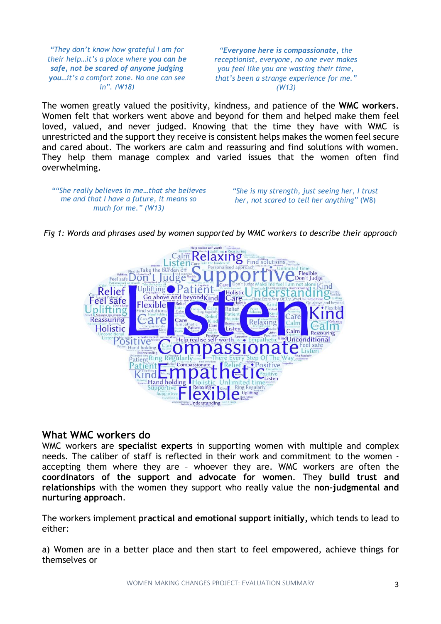*"They don't know how grateful I am for their help…it's a place where you can be safe, not be scared of anyone judging you…it's a comfort zone. No one can see in". (W18)*

*"Everyone here is compassionate, the receptionist, everyone, no one ever makes you feel like you are wasting their time, that's been a strange experience for me." (W13)*

The women greatly valued the positivity, kindness, and patience of the **WMC workers**. Women felt that workers went above and beyond for them and helped make them feel loved, valued, and never judged. Knowing that the time they have with WMC is unrestricted and the support they receive is consistent helps makes the women feel secure and cared about. The workers are calm and reassuring and find solutions with women. They help them manage complex and varied issues that the women often find overwhelming.

*""She really believes in me…that she believes me and that I have a future, it means so much for me." (W13)*

*"She is my strength, just seeing her, I trust her, not scared to tell her anything"* (W8)

Calim Relaxing Find<sup>thes</sup> Feel safe Don ludge plifting atient Holistic Relief Go above and beyond Kind Care Feel safe **Flexible** Uplifting Relief Reassuring аr Relaxing Holistic Listen Calm Positi self-worth Unconditional SSI te a atient Ring  $\binom{1}{1}$ Hand holding

*Fig 1: Words and phrases used by women supported by WMC workers to describe their approach*

## **What WMC workers do**

WMC workers are **specialist experts** in supporting women with multiple and complex needs. The caliber of staff is reflected in their work and commitment to the women accepting them where they are – whoever they are. WMC workers are often the **coordinators of the support and advocate for women**. They **build trust and relationships** with the women they support who really value the **non-judgmental and nurturing approach**.

The workers implement **practical and emotional support initially,** which tends to lead to either:

a) Women are in a better place and then start to feel empowered, achieve things for themselves or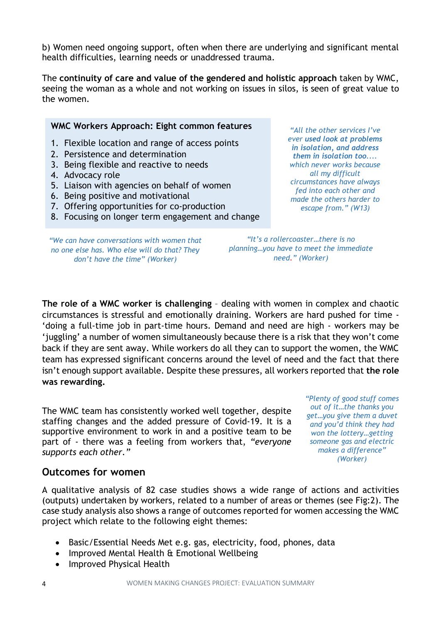b) Women need ongoing support, often when there are underlying and significant mental health difficulties, learning needs or unaddressed trauma.

The **continuity of care and value of the gendered and holistic approach** taken by WMC, seeing the woman as a whole and not working on issues in silos, is seen of great value to the women.

#### **WMC Workers Approach: Eight common features**

- 1. Flexible location and range of access points
- 2. Persistence and determination
- 3. Being flexible and reactive to needs
- 4. Advocacy role
- 5. Liaison with agencies on behalf of women
- 6. Being positive and motivational
- 7. Offering opportunities for co-production
- 8. Focusing on longer term engagement and change

*"We can have conversations with women that no one else has. Who else will do that? They don't have the time" (Worker)*

*escape from." (W13) "It's a rollercoaster…there is no* 

*"All the other services I've ever used look at problems in isolation, and address them in isolation too.... which never works because all my difficult circumstances have always fed into each other and made the others harder to*

*planning…you have to meet the immediate need." (Worker)*

**The role of a WMC worker is challenging** – dealing with women in complex and chaotic circumstances is stressful and emotionally draining. Workers are hard pushed for time - 'doing a full-time job in part-time hours. Demand and need are high - workers may be 'juggling' a number of women simultaneously because there is a risk that they won't come back if they are sent away. While workers do all they can to support the women, the WMC team has expressed significant concerns around the level of need and the fact that there isn't enough support available. Despite these pressures, all workers reported that **the role was rewarding.**

The WMC team has consistently worked well together, despite staffing changes and the added pressure of Covid-19. It is a supportive environment to work in and a positive team to be part of - there was a feeling from workers that, *"everyone supports each other."*

*"Plenty of good stuff comes out of it…the thanks you get…you give them a duvet and you'd think they had won the lottery…getting someone gas and electric makes a difference" (Worker)*

## **Outcomes for women**

A qualitative analysis of 82 case studies shows a wide range of actions and activities (outputs) undertaken by workers, related to a number of areas or themes (see Fig:2). The case study analysis also shows a range of outcomes reported for women accessing the WMC project which relate to the following eight themes:

- Basic/Essential Needs Met e.g. gas, electricity, food, phones, data
- Improved Mental Health & Emotional Wellbeing
- Improved Physical Health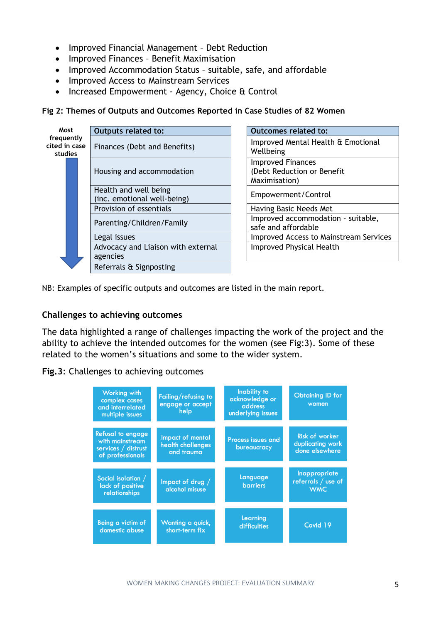- Improved Financial Management Debt Reduction
- Improved Finances Benefit Maximisation
- Improved Accommodation Status suitable, safe, and affordable
- Improved Access to Mainstream Services
- Increased Empowerment Agency, Choice & Control

#### **Fig 2: Themes of Outputs and Outcomes Reported in Case Studies of 82 Women**



| Outcomes related to:                                                    |
|-------------------------------------------------------------------------|
| Improved Mental Health & Emotional<br>Wellbeing                         |
| <b>Improved Finances</b><br>(Debt Reduction or Benefit<br>Maximisation) |
| Empowerment/Control                                                     |
| Having Basic Needs Met                                                  |
| Improved accommodation - suitable,<br>safe and affordable               |
| <b>Improved Access to Mainstream Services</b>                           |
| <b>Improved Physical Health</b>                                         |

NB: Examples of specific outputs and outcomes are listed in the main report.

#### **Challenges to achieving outcomes**

The data highlighted a range of challenges impacting the work of the project and the ability to achieve the intended outcomes for the women (see Fig:3). Some of these related to the women's situations and some to the wider system.

#### **Fig.3**: Challenges to achieving outcomes

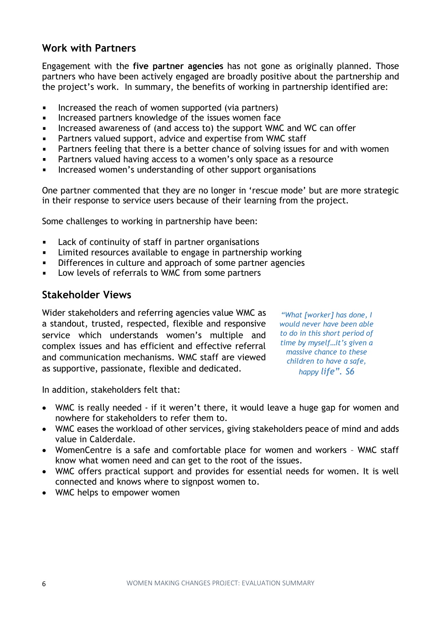# **Work with Partners**

Engagement with the **five partner agencies** has not gone as originally planned. Those partners who have been actively engaged are broadly positive about the partnership and the project's work. In summary, the benefits of working in partnership identified are:

- $\blacksquare$ Increased the reach of women supported (via partners)
- Increased partners knowledge of the issues women face  $\blacksquare$
- Increased awareness of (and access to) the support WMC and WC can offer  $\blacksquare$
- Partners valued support, advice and expertise from WMC staff  $\blacksquare$
- Partners feeling that there is a better chance of solving issues for and with women  $\blacksquare$
- Partners valued having access to a women's only space as a resource  $\blacksquare$
- Increased women's understanding of other support organisations  $\blacksquare$

One partner commented that they are no longer in 'rescue mode' but are more strategic in their response to service users because of their learning from the project.

Some challenges to working in partnership have been:

- $\blacksquare$ Lack of continuity of staff in partner organisations
- Limited resources available to engage in partnership working  $\blacksquare$
- Differences in culture and approach of some partner agencies  $\blacksquare$
- Low levels of referrals to WMC from some partners

## **Stakeholder Views**

Wider stakeholders and referring agencies value WMC as a standout, trusted, respected, flexible and responsive service which understands women's multiple and complex issues and has efficient and effective referral and communication mechanisms. WMC staff are viewed as supportive, passionate, flexible and dedicated.

*"What [worker] has done, I would never have been able to do in this short period of time by myself…it's given a massive chance to these children to have a safe, happy life". S6*

In addition, stakeholders felt that:

- WMC is really needed if it weren't there, it would leave a huge gap for women and nowhere for stakeholders to refer them to.
- WMC eases the workload of other services, giving stakeholders peace of mind and adds value in Calderdale.
- WomenCentre is a safe and comfortable place for women and workers WMC staff know what women need and can get to the root of the issues.
- WMC offers practical support and provides for essential needs for women. It is well connected and knows where to signpost women to.
- WMC helps to empower women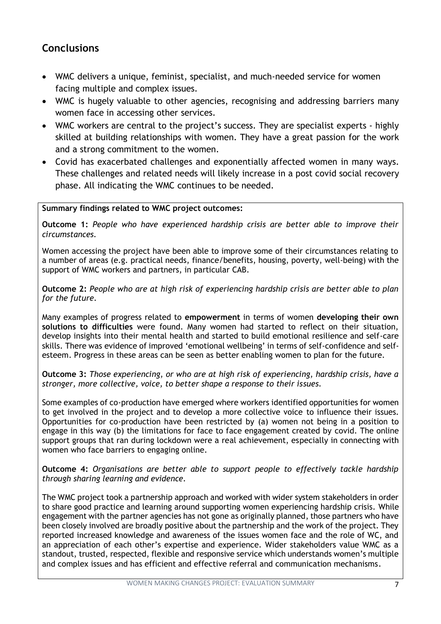# **Conclusions**

- WMC delivers a unique, feminist, specialist, and much-needed service for women facing multiple and complex issues.
- WMC is hugely valuable to other agencies, recognising and addressing barriers many women face in accessing other services.
- WMC workers are central to the project's success. They are specialist experts highly skilled at building relationships with women. They have a great passion for the work and a strong commitment to the women.
- Covid has exacerbated challenges and exponentially affected women in many ways. These challenges and related needs will likely increase in a post covid social recovery phase. All indicating the WMC continues to be needed.

#### **Summary findings related to WMC project outcomes:**

**Outcome 1:** *People who have experienced hardship crisis are better able to improve their circumstances.*

Women accessing the project have been able to improve some of their circumstances relating to a number of areas (e.g. practical needs, finance/benefits, housing, poverty, well-being) with the support of WMC workers and partners, in particular CAB.

**Outcome 2:** *People who are at high risk of experiencing hardship crisis are better able to plan for the future.*

Many examples of progress related to **empowerment** in terms of women **developing their own solutions to difficulties** were found. Many women had started to reflect on their situation, develop insights into their mental health and started to build emotional resilience and self-care skills. There was evidence of improved 'emotional wellbeing' in terms of self-confidence and selfesteem. Progress in these areas can be seen as better enabling women to plan for the future.

**Outcome 3:** *Those experiencing, or who are at high risk of experiencing, hardship crisis, have a stronger, more collective, voice, to better shape a response to their issues.*

Some examples of co-production have emerged where workers identified opportunities for women to get involved in the project and to develop a more collective voice to influence their issues. Opportunities for co-production have been restricted by (a) women not being in a position to engage in this way (b) the limitations for face to face engagement created by covid. The online support groups that ran during lockdown were a real achievement, especially in connecting with women who face barriers to engaging online.

**Outcome 4:** *Organisations are better able to support people to effectively tackle hardship through sharing learning and evidence.*

The WMC project took a partnership approach and worked with wider system stakeholders in order to share good practice and learning around supporting women experiencing hardship crisis. While engagement with the partner agencies has not gone as originally planned, those partners who have been closely involved are broadly positive about the partnership and the work of the project. They reported increased knowledge and awareness of the issues women face and the role of WC, and an appreciation of each other's expertise and experience. Wider stakeholders value WMC as a standout, trusted, respected, flexible and responsive service which understands women's multiple and complex issues and has efficient and effective referral and communication mechanisms.